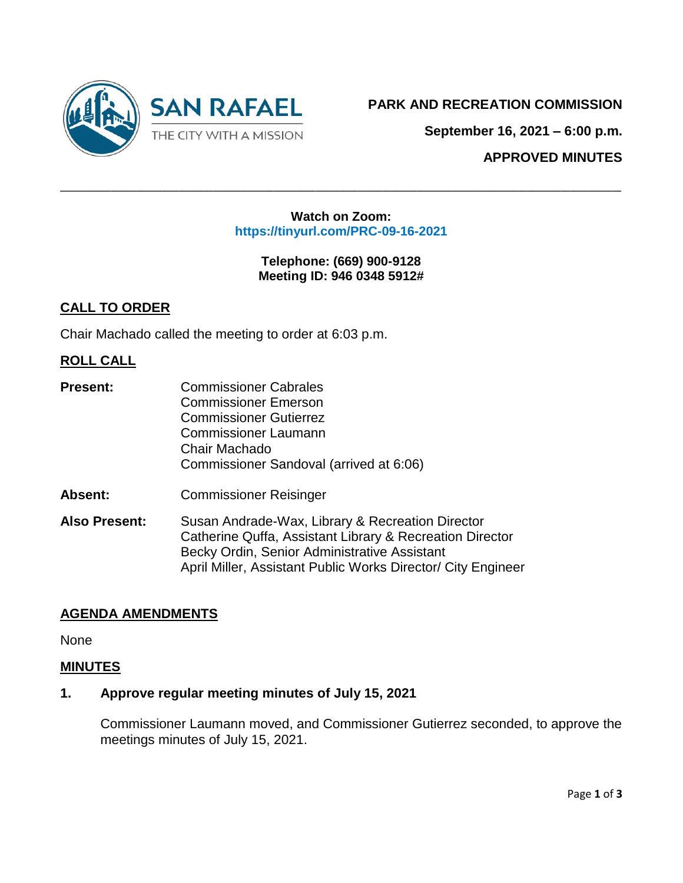

**September 16, 2021 – 6:00 p.m.**

**APPROVED MINUTES**

#### **Watch on Zoom: https://tinyurl.com/PRC-09-16-2021**

 $\_$  , and the contribution of the contribution of  $\mathcal{L}$  , and  $\mathcal{L}$  , and  $\mathcal{L}$  , and  $\mathcal{L}$  , and  $\mathcal{L}$  , and  $\mathcal{L}$  , and  $\mathcal{L}$  , and  $\mathcal{L}$  , and  $\mathcal{L}$  , and  $\mathcal{L}$  , and  $\mathcal{L}$  , and  $\mathcal{L$ 

**Telephone: (669) 900-9128 Meeting ID: 946 0348 5912#**

# **CALL TO ORDER**

Chair Machado called the meeting to order at 6:03 p.m.

## **ROLL CALL**

- **Present:** Commissioner Cabrales Commissioner Emerson Commissioner Gutierrez Commissioner Laumann Chair Machado Commissioner Sandoval (arrived at 6:06)
- **Absent:** Commissioner Reisinger
- **Also Present:** Susan Andrade-Wax, Library & Recreation Director Catherine Quffa, Assistant Library & Recreation Director Becky Ordin, Senior Administrative Assistant April Miller, Assistant Public Works Director/ City Engineer

## **AGENDA AMENDMENTS**

None

## **MINUTES**

## **1. Approve regular meeting minutes of July 15, 2021**

Commissioner Laumann moved, and Commissioner Gutierrez seconded, to approve the meetings minutes of July 15, 2021.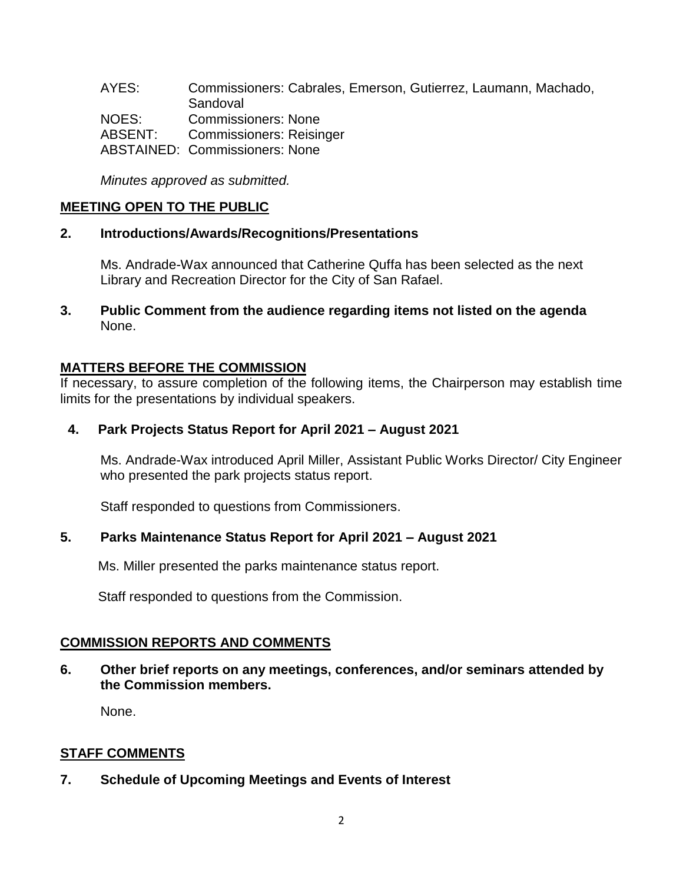AYES: Commissioners: Cabrales, Emerson, Gutierrez, Laumann, Machado, **Sandoval** NOES: Commissioners: None ABSENT: Commissioners: Reisinger ABSTAINED: Commissioners: None

*Minutes approved as submitted.*

# **MEETING OPEN TO THE PUBLIC**

#### **2. Introductions/Awards/Recognitions/Presentations**

Ms. Andrade-Wax announced that Catherine Quffa has been selected as the next Library and Recreation Director for the City of San Rafael.

**3. Public Comment from the audience regarding items not listed on the agenda** None.

## **MATTERS BEFORE THE COMMISSION**

If necessary, to assure completion of the following items, the Chairperson may establish time limits for the presentations by individual speakers.

## **4. Park Projects Status Report for April 2021 – August 2021**

Ms. Andrade-Wax introduced April Miller, Assistant Public Works Director/ City Engineer who presented the park projects status report.

Staff responded to questions from Commissioners.

# **5. Parks Maintenance Status Report for April 2021 – August 2021**

Ms. Miller presented the parks maintenance status report.

Staff responded to questions from the Commission.

## **COMMISSION REPORTS AND COMMENTS**

**6. Other brief reports on any meetings, conferences, and/or seminars attended by the Commission members.**

None.

## **STAFF COMMENTS**

**7. Schedule of Upcoming Meetings and Events of Interest**